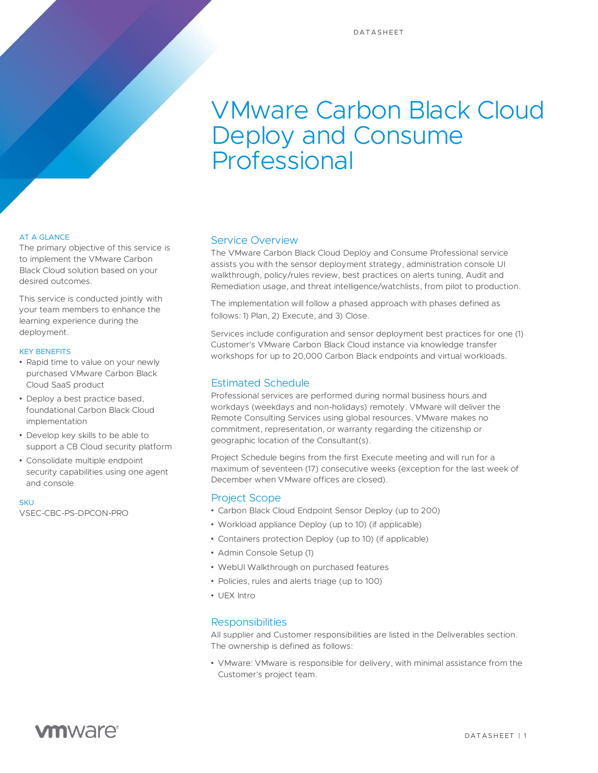# VMware Carbon Black Cloud Deploy and Consume Professional

### AT A GLANCE

The primary objective of this service is to implement the VMware Carbon Black Cloud solution based on your desired outcomes.

This service is conducted jointly with your team members to enhance the learning experience during the deployment.

#### KEY BENEFITS

- Rapid time to value on your newly purchased VMware Carbon Black Cloud SaaS product
- Deploy a best practice based, foundational Carbon Black Cloud implementation
- Develop key skills to be able to support a CB Cloud security platform
- Consolidate multiple endpoint security capabilities using one agent and console

#### **SKU**

VSEC-CBC-PS-DPCON-PRO

# Service Overview

The VMware Carbon Black Cloud Deploy and Consume Professional service assists you with the sensor deployment strategy, administration console UI walkthrough, policy/rules review, best practices on alerts tuning, Audit and Remediation usage, and threat intelligence/watchlists, from pilot to production.

The implementation will follow a phased approach with phases defined as follows: 1) Plan, 2) Execute, and 3) Close.

Services include configuration and sensor deployment best practices for one (1) Customer's VMware Carbon Black Cloud instance via knowledge transfer workshops for up to 20,000 Carbon Black endpoints and virtual workloads.

### Estimated Schedule

Professional services are performed during normal business hours and workdays (weekdays and non-holidays) remotely. VMware will deliver the Remote Consulting Services using global resources. VMware makes no commitment, representation, or warranty regarding the citizenship or geographic location of the Consultant(s).

Project Schedule begins from the first Execute meeting and will run for a maximum of seventeen (17) consecutive weeks (exception for the last week of December when VMware offices are closed).

#### Project Scope

- Carbon Black Cloud Endpoint Sensor Deploy (up to 200)
- Workload appliance Deploy (up to 10) (if applicable)
- Containers protection Deploy (up to 10) (if applicable)
- Admin Console Setup (1)
- WebUI Walkthrough on purchased features
- Policies, rules and alerts triage (up to 100)
- UEX Intro

# **Responsibilities**

All supplier and Customer responsibilities are listed in the Deliverables section. The ownership is defined as follows:

• VMware: VMware is responsible for delivery, with minimal assistance from the Customer's project team.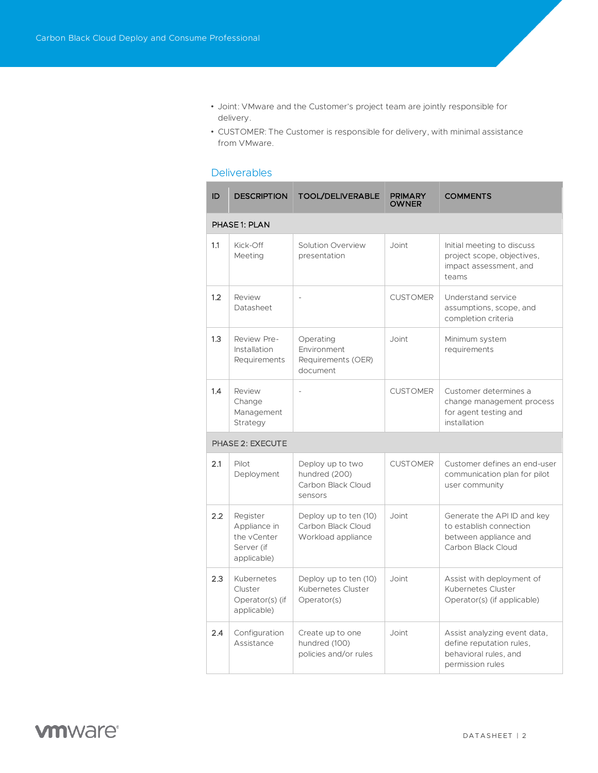- Joint: VMware and the Customer's project team are jointly responsible for delivery.
- CUSTOMER: The Customer is responsible for delivery, with minimal assistance from VMware.

# **Deliverables**

| ID               | <b>DESCRIPTION</b>                                                   | <b>TOOL/DELIVERABLE</b>                                            | <b>PRIMARY</b><br><b>OWNER</b> | <b>COMMENTS</b>                                                                                       |  |  |  |
|------------------|----------------------------------------------------------------------|--------------------------------------------------------------------|--------------------------------|-------------------------------------------------------------------------------------------------------|--|--|--|
| PHASE 1: PLAN    |                                                                      |                                                                    |                                |                                                                                                       |  |  |  |
| 1.1              | Kick-Off<br>Meeting                                                  | Solution Overview<br>presentation                                  | Joint                          | Initial meeting to discuss<br>project scope, objectives,<br>impact assessment, and<br>teams           |  |  |  |
| 1.2              | Review<br>Datasheet                                                  | $\overline{a}$                                                     | <b>CUSTOMER</b>                | Understand service<br>assumptions, scope, and<br>completion criteria                                  |  |  |  |
| 1.3              | Review Pre-<br>Installation<br>Requirements                          | Operating<br>Environment<br>Requirements (OER)<br>document         | Joint                          | Minimum system<br>requirements                                                                        |  |  |  |
| 1.4              | Review<br>Change<br>Management<br>Strategy                           |                                                                    | <b>CUSTOMER</b>                | Customer determines a<br>change management process<br>for agent testing and<br>installation           |  |  |  |
| PHASE 2: EXECUTE |                                                                      |                                                                    |                                |                                                                                                       |  |  |  |
| 2.1              | Pilot<br>Deployment                                                  | Deploy up to two<br>hundred (200)<br>Carbon Black Cloud<br>sensors | <b>CUSTOMER</b>                | Customer defines an end-user<br>communication plan for pilot<br>user community                        |  |  |  |
| 2.2              | Register<br>Appliance in<br>the vCenter<br>Server (if<br>applicable) | Deploy up to ten (10)<br>Carbon Black Cloud<br>Workload appliance  | Joint                          | Generate the API ID and key<br>to establish connection<br>between appliance and<br>Carbon Black Cloud |  |  |  |
| 2.3              | Kubernetes<br>Cluster<br>Operator(s) (if<br>applicable)              | Deploy up to ten (10)<br>Kubernetes Cluster<br>Operator(s)         | Joint                          | Assist with deployment of<br>Kubernetes Cluster<br>Operator(s) (if applicable)                        |  |  |  |
| 2.4              | Configuration<br>Assistance                                          | Create up to one<br>hundred (100)<br>policies and/or rules         | Joint                          | Assist analyzing event data,<br>define reputation rules,<br>behavioral rules, and<br>permission rules |  |  |  |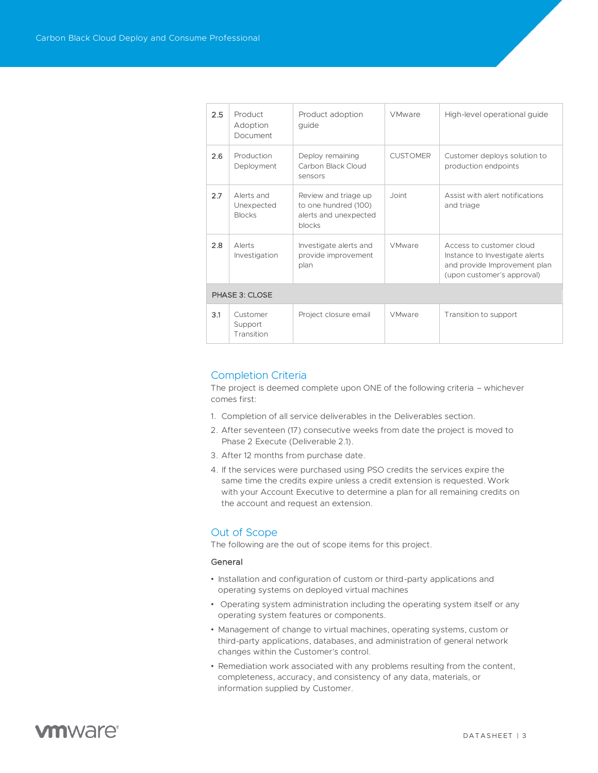| 2.5            | Product<br>Adoption<br>Document           | Product adoption<br>quide                                                       | <b>VMware</b>   | High-level operational guide                                                                                             |  |  |
|----------------|-------------------------------------------|---------------------------------------------------------------------------------|-----------------|--------------------------------------------------------------------------------------------------------------------------|--|--|
| 2.6            | Production<br>Deployment                  | Deploy remaining<br>Carbon Black Cloud<br>sensors                               | <b>CUSTOMER</b> | Customer deploys solution to<br>production endpoints                                                                     |  |  |
| 2.7            | Alerts and<br>Unexpected<br><b>Blocks</b> | Review and triage up<br>to one hundred (100)<br>alerts and unexpected<br>blocks | Joint           | Assist with alert notifications<br>and triage                                                                            |  |  |
| 2.8            | Alerts<br>Investigation                   | Investigate alerts and<br>provide improvement<br>plan                           | VMware          | Access to customer cloud<br>Instance to Investigate alerts<br>and provide Improvement plan<br>(upon customer's approval) |  |  |
| PHASE 3: CLOSE |                                           |                                                                                 |                 |                                                                                                                          |  |  |
| 3.1            | Customer<br>Support<br>Transition         | Project closure email                                                           | VMware          | Transition to support                                                                                                    |  |  |

# Completion Criteria

The project is deemed complete upon ONE of the following criteria – whichever comes first:

- 1. Completion of all service deliverables in the Deliverables section.
- 2. After seventeen (17) consecutive weeks from date the project is moved to Phase 2 Execute (Deliverable 2.1).
- 3. After 12 months from purchase date.
- 4. If the services were purchased using PSO credits the services expire the same time the credits expire unless a credit extension is requested. Work with your Account Executive to determine a plan for all remaining credits on the account and request an extension.

# Out of Scope

The following are the out of scope items for this project.

#### General

- Installation and configuration of custom or third-party applications and operating systems on deployed virtual machines
- Operating system administration including the operating system itself or any operating system features or components.
- Management of change to virtual machines, operating systems, custom or third-party applications, databases, and administration of general network changes within the Customer's control.
- Remediation work associated with any problems resulting from the content, completeness, accuracy, and consistency of any data, materials, or information supplied by Customer.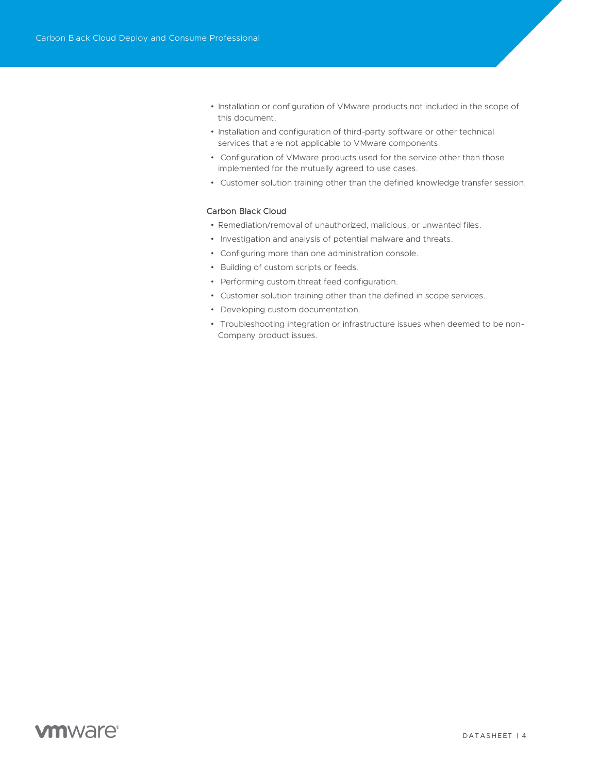- Installation or configuration of VMware products not included in the scope of this document.
- Installation and configuration of third-party software or other technical services that are not applicable to VMware components.
- Configuration of VMware products used for the service other than those implemented for the mutually agreed to use cases.
- Customer solution training other than the defined knowledge transfer session.

### Carbon Black Cloud

- Remediation/removal of unauthorized, malicious, or unwanted files.
- Investigation and analysis of potential malware and threats.
- Configuring more than one administration console.
- Building of custom scripts or feeds.
- Performing custom threat feed configuration.
- Customer solution training other than the defined in scope services.
- Developing custom documentation.
- Troubleshooting integration or infrastructure issues when deemed to be non-Company product issues.